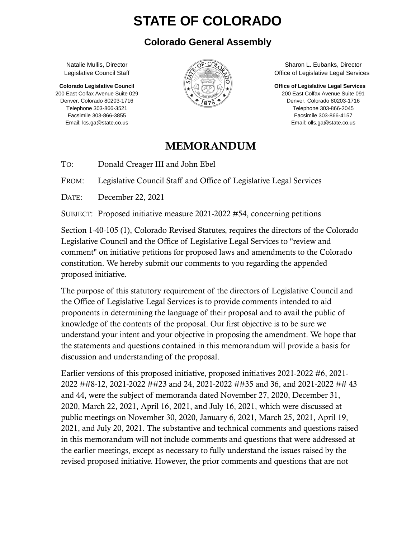# **STATE OF COLORADO**

#### **Colorado General Assembly**

Natalie Mullis, Director Legislative Council Staff

**Colorado Legislative Council** 200 East Colfax Avenue Suite 029 Denver, Colorado 80203-1716 Telephone 303-866-3521 Facsimile 303-866-3855 Email: lcs.ga@state.co.us



Sharon L. Eubanks, Director Office of Legislative Legal Services

**Office of Legislative Legal Services**

200 East Colfax Avenue Suite 091 Denver, Colorado 80203-1716 Telephone 303-866-2045 Facsimile 303-866-4157 Email: olls.ga@state.co.us

#### MEMORANDUM

TO: Donald Creager III and John Ebel

FROM: Legislative Council Staff and Office of Legislative Legal Services

DATE: December 22, 2021

SUBJECT: Proposed initiative measure 2021-2022 #54, concerning petitions

Section 1-40-105 (1), Colorado Revised Statutes, requires the directors of the Colorado Legislative Council and the Office of Legislative Legal Services to "review and comment" on initiative petitions for proposed laws and amendments to the Colorado constitution. We hereby submit our comments to you regarding the appended proposed initiative.

The purpose of this statutory requirement of the directors of Legislative Council and the Office of Legislative Legal Services is to provide comments intended to aid proponents in determining the language of their proposal and to avail the public of knowledge of the contents of the proposal. Our first objective is to be sure we understand your intent and your objective in proposing the amendment. We hope that the statements and questions contained in this memorandum will provide a basis for discussion and understanding of the proposal.

Earlier versions of this proposed initiative, proposed initiatives 2021-2022 #6, 2021- 2022 ##8-12, 2021-2022 ##23 and 24, 2021-2022 ##35 and 36, and 2021-2022 ## 43 and 44, were the subject of memoranda dated November 27, 2020, December 31, 2020, March 22, 2021, April 16, 2021, and July 16, 2021, which were discussed at public meetings on November 30, 2020, January 6, 2021, March 25, 2021, April 19, 2021, and July 20, 2021. The substantive and technical comments and questions raised in this memorandum will not include comments and questions that were addressed at the earlier meetings, except as necessary to fully understand the issues raised by the revised proposed initiative. However, the prior comments and questions that are not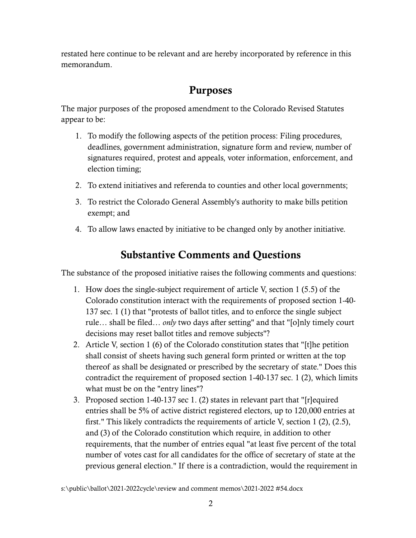restated here continue to be relevant and are hereby incorporated by reference in this memorandum.

### Purposes

The major purposes of the proposed amendment to the Colorado Revised Statutes appear to be:

- 1. To modify the following aspects of the petition process: Filing procedures, deadlines, government administration, signature form and review, number of signatures required, protest and appeals, voter information, enforcement, and election timing;
- 2. To extend initiatives and referenda to counties and other local governments;
- 3. To restrict the Colorado General Assembly's authority to make bills petition exempt; and
- 4. To allow laws enacted by initiative to be changed only by another initiative.

## Substantive Comments and Questions

The substance of the proposed initiative raises the following comments and questions:

- 1. How does the single-subject requirement of article V, section 1 (5.5) of the Colorado constitution interact with the requirements of proposed section 1-40- 137 sec. 1 (1) that "protests of ballot titles, and to enforce the single subject rule… shall be filed… *only* two days after setting" and that "[o]nly timely court decisions may reset ballot titles and remove subjects"?
- 2. Article V, section 1 (6) of the Colorado constitution states that "[t]he petition shall consist of sheets having such general form printed or written at the top thereof as shall be designated or prescribed by the secretary of state." Does this contradict the requirement of proposed section 1-40-137 sec. 1 (2), which limits what must be on the "entry lines"?
- 3. Proposed section 1-40-137 sec 1. (2) states in relevant part that "[r]equired entries shall be 5% of active district registered electors, up to 120,000 entries at first." This likely contradicts the requirements of article V, section 1 (2), (2.5), and (3) of the Colorado constitution which require, in addition to other requirements, that the number of entries equal "at least five percent of the total number of votes cast for all candidates for the office of secretary of state at the previous general election." If there is a contradiction, would the requirement in

s:\public\ballot\2021-2022cycle\review and comment memos\2021-2022 #54.docx